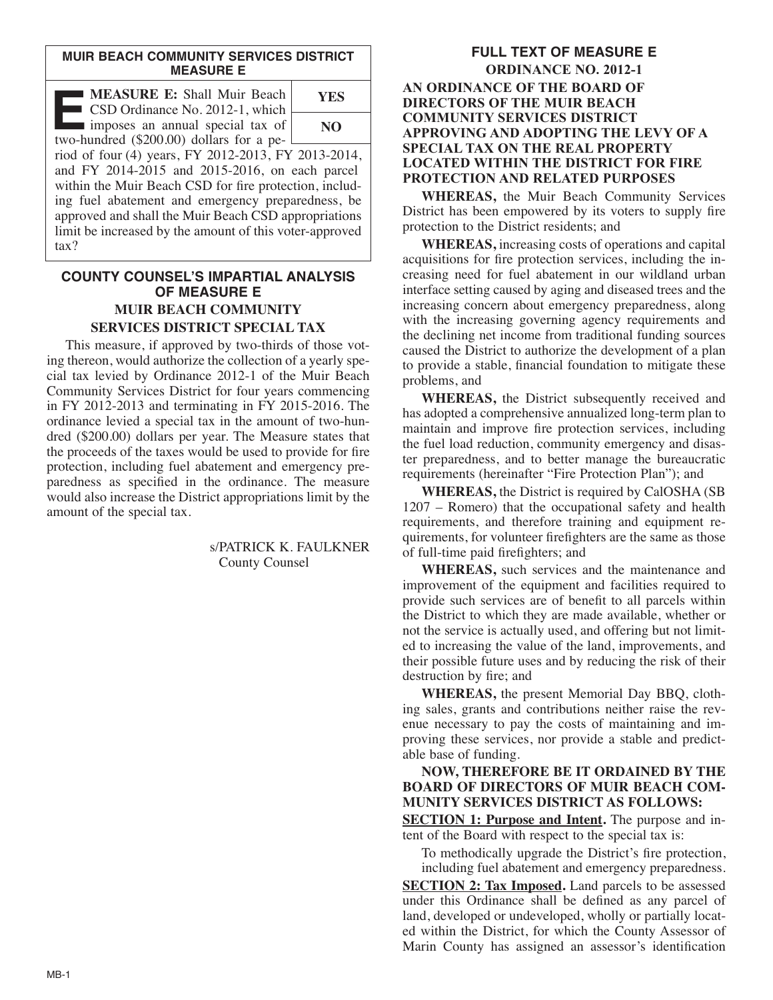#### **MUIR BEACH COMMUNITY SERVICES DISTRICT MEASURE E**

| <b>MEASURE E: Shall Muir Beach</b><br>CSD Ordinance No. 2012-1, which                                                                                                                                                                                                                                                                                     | YES |
|-----------------------------------------------------------------------------------------------------------------------------------------------------------------------------------------------------------------------------------------------------------------------------------------------------------------------------------------------------------|-----|
| imposes an annual special tax of<br>two-hundred (\$200.00) dollars for a pe-                                                                                                                                                                                                                                                                              | NO  |
| riod of four (4) years, FY 2012-2013, FY 2013-2014,<br>and FY 2014-2015 and 2015-2016, on each parcel<br>within the Muir Beach CSD for fire protection, includ-<br>ing fuel abatement and emergency preparedness, be<br>approved and shall the Muir Beach CSD appropriations<br>limit be increased by the amount of this voter-approved<br>$\text{tax}$ ? |     |

# **COUNTY COUNSEL'S IMPARTIAL ANALYSIS OF MEASURE E MUIR BEACH COMMUNITY SERVICES DISTRICT SPECIAL TAX**

This measure, if approved by two-thirds of those voting thereon, would authorize the collection of a yearly special tax levied by Ordinance 2012-1 of the Muir Beach Community Services District for four years commencing in FY 2012-2013 and terminating in FY 2015-2016. The ordinance levied a special tax in the amount of two-hundred (\$200.00) dollars per year. The Measure states that the proceeds of the taxes would be used to provide for fire protection, including fuel abatement and emergency preparedness as specified in the ordinance. The measure would also increase the District appropriations limit by the amount of the special tax.

> s/PATRICK K. FAULKNER County Counsel

### **FULL TEXT OF MEASURE E ORDINANCE NO. 2012-1 AN ORDINANCE OF THE BOARD OF DIRECTORS OF THE MUIR BEACH COMMUNITY SERVICES DISTRICT APPROVING AND ADOPTING THE LEVY OF A SPECIAL TAX ON THE REAL PROPERTY LOCATED WITHIN THE DISTRICT FOR FIRE PROTECTION AND RELATED PURPOSES**

**WHEREAS,** the Muir Beach Community Services District has been empowered by its voters to supply fire protection to the District residents; and

**WHEREAS,** increasing costs of operations and capital acquisitions for fire protection services, including the increasing need for fuel abatement in our wildland urban interface setting caused by aging and diseased trees and the increasing concern about emergency preparedness, along with the increasing governing agency requirements and the declining net income from traditional funding sources caused the District to authorize the development of a plan to provide a stable, financial foundation to mitigate these problems, and

**WHEREAS,** the District subsequently received and has adopted a comprehensive annualized long-term plan to maintain and improve fire protection services, including the fuel load reduction, community emergency and disaster preparedness, and to better manage the bureaucratic requirements (hereinafter "Fire Protection Plan"); and

**WHEREAS,** the District is required by CalOSHA (SB 1207 – Romero) that the occupational safety and health requirements, and therefore training and equipment requirements, for volunteer firefighters are the same as those of full-time paid firefighters; and

**WHEREAS,** such services and the maintenance and improvement of the equipment and facilities required to provide such services are of benefit to all parcels within the District to which they are made available, whether or not the service is actually used, and offering but not limited to increasing the value of the land, improvements, and their possible future uses and by reducing the risk of their destruction by fire; and

**WHEREAS,** the present Memorial Day BBQ, clothing sales, grants and contributions neither raise the revenue necessary to pay the costs of maintaining and improving these services, nor provide a stable and predictable base of funding.

# **NOW, THEREFORE BE IT ORDAINED BY THE BOARD OF DIRECTORS OF MUIR BEACH COM-MUNITY SERVICES DISTRICT AS FOLLOWS:**

**SECTION 1: Purpose and Intent.** The purpose and intent of the Board with respect to the special tax is:

To methodically upgrade the District's fire protection, including fuel abatement and emergency preparedness.

**SECTION 2: Tax Imposed.** Land parcels to be assessed under this Ordinance shall be defined as any parcel of land, developed or undeveloped, wholly or partially located within the District, for which the County Assessor of Marin County has assigned an assessor's identification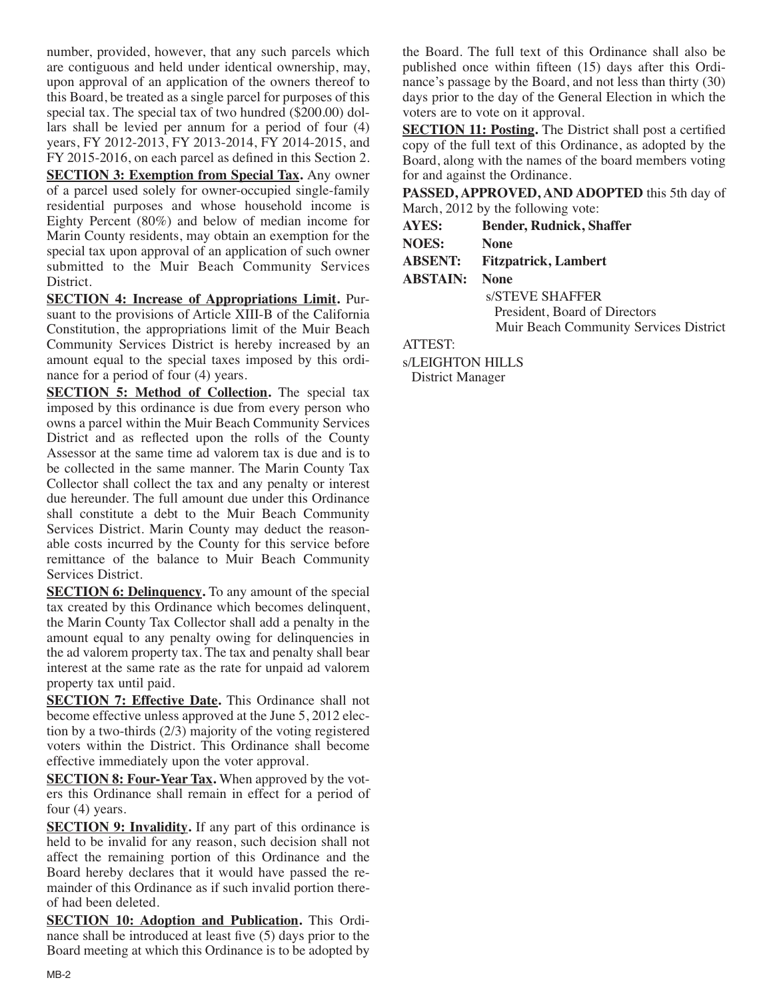number, provided, however, that any such parcels which are contiguous and held under identical ownership, may, upon approval of an application of the owners thereof to this Board, be treated as a single parcel for purposes of this special tax. The special tax of two hundred (\$200.00) dollars shall be levied per annum for a period of four (4) years, FY 2012-2013, FY 2013-2014, FY 2014-2015, and FY 2015-2016, on each parcel as defined in this Section 2.

**SECTION 3: Exemption from Special Tax.** Any owner of a parcel used solely for owner-occupied single-family residential purposes and whose household income is Eighty Percent (80%) and below of median income for Marin County residents, may obtain an exemption for the special tax upon approval of an application of such owner submitted to the Muir Beach Community Services District.

**SECTION 4: Increase of Appropriations Limit.** Pursuant to the provisions of Article XIII-B of the California Constitution, the appropriations limit of the Muir Beach Community Services District is hereby increased by an amount equal to the special taxes imposed by this ordinance for a period of four (4) years.

**SECTION 5: Method of Collection.** The special tax imposed by this ordinance is due from every person who owns a parcel within the Muir Beach Community Services District and as reflected upon the rolls of the County Assessor at the same time ad valorem tax is due and is to be collected in the same manner. The Marin County Tax Collector shall collect the tax and any penalty or interest due hereunder. The full amount due under this Ordinance shall constitute a debt to the Muir Beach Community Services District. Marin County may deduct the reasonable costs incurred by the County for this service before remittance of the balance to Muir Beach Community Services District.

**SECTION 6: Delinquency.** To any amount of the special tax created by this Ordinance which becomes delinquent, the Marin County Tax Collector shall add a penalty in the amount equal to any penalty owing for delinquencies in the ad valorem property tax. The tax and penalty shall bear interest at the same rate as the rate for unpaid ad valorem property tax until paid.

**SECTION 7: Effective Date.** This Ordinance shall not become effective unless approved at the June 5, 2012 election by a two-thirds (2/3) majority of the voting registered voters within the District. This Ordinance shall become effective immediately upon the voter approval.

**SECTION 8: Four-Year Tax.** When approved by the voters this Ordinance shall remain in effect for a period of four (4) years.

**SECTION 9: Invalidity.** If any part of this ordinance is held to be invalid for any reason, such decision shall not affect the remaining portion of this Ordinance and the Board hereby declares that it would have passed the remainder of this Ordinance as if such invalid portion thereof had been deleted.

**SECTION 10: Adoption and Publication.** This Ordinance shall be introduced at least five (5) days prior to the Board meeting at which this Ordinance is to be adopted by the Board. The full text of this Ordinance shall also be published once within fifteen (15) days after this Ordinance's passage by the Board, and not less than thirty (30) days prior to the day of the General Election in which the voters are to vote on it approval.

**SECTION 11: Posting.** The District shall post a certified copy of the full text of this Ordinance, as adopted by the Board, along with the names of the board members voting for and against the Ordinance.

**PASSED, APPROVED, AND ADOPTED** this 5th day of March, 2012 by the following vote:

**AYES: Bender, Rudnick, Shaffer**

| ------               |                             |
|----------------------|-----------------------------|
| <b>NOES:</b>         | <b>None</b>                 |
| <b>ABSENT:</b>       | <b>Fitzpatrick, Lambert</b> |
| <b>ABSTAIN:</b> None |                             |

s/STEVE SHAFFER President, Board of Directors Muir Beach Community Services District

ATTEST:

s/LEIGHTON HILLS

District Manager